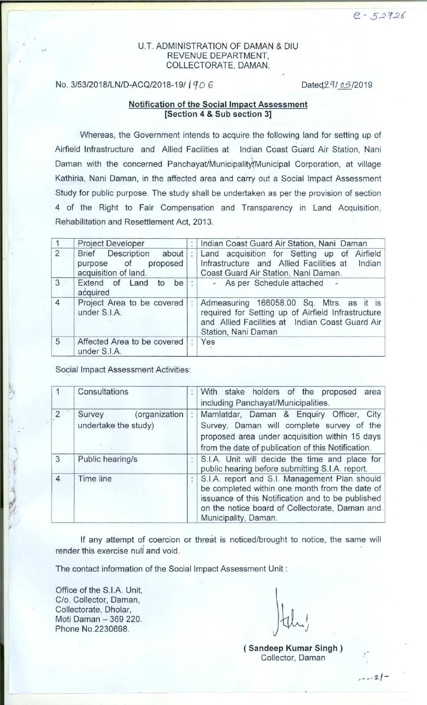### U.T. ADMINISTRATION OF DAMAN & DIU REVENUE DEPARTMENT, COLLECTORATE, DAMAN.

### **No. 3/53/2018/LN/D-ACQ/2018-19/ | 9 0 6 Dated 29/ 05/2019**

### **Notification** of the Social **Impact Assessment** [Section 4 & Sub section 3]

Whereas, the Government intends to acquire the following land for setting up of Airfield Infrastructure and Allied Facilities at Indian Coast Guard Air Station, Nani Daman with the concerned Panchayat/Municipalityl(Municipal Corporation, **at village** Kathiria, Nani Daman, in the affected area and carry out a Social Impact Assessment Study for public purpose. The study shall be undertaken as per the provision of section 4 of the Right to Fair Compensation and Transparency in Land Acquisition, Rehabilitation and Resettlement Act, 2013.

|                | <b>Project Developer</b>                                                            |   | Indian Coast Guard Air Station, Nani Daman                                                                                                                               |  |  |
|----------------|-------------------------------------------------------------------------------------|---|--------------------------------------------------------------------------------------------------------------------------------------------------------------------------|--|--|
| $\overline{2}$ | <b>Brief</b> Description<br>about<br>proposed<br>purpose of<br>acquisition of land. |   | Land acquisition for Setting up of Airfield<br>Infrastructure and Allied Facilities at<br>Indian<br>Coast Guard Air Station, Nani Daman.                                 |  |  |
| 3              | Extend of Land<br>be<br>to<br>acquired                                              |   | - As per Schedule attached                                                                                                                                               |  |  |
| $\overline{4}$ | Project Area to be covered<br>under S.I.A.                                          | t | Admeasuring 166058.00 Sq. Mtrs. as it is<br>required for Setting up of Airfield Infrastructure<br>and Allied Facilities at Indian Coast Guard Air<br>Station, Nani Daman |  |  |
| 5              | Affected Area to be covered<br>under S.I.A.                                         |   | Yes                                                                                                                                                                      |  |  |

Social Impact Assessment Activities:

|                | Consultations                                   | With stake holders of the proposed area<br>including Panchayat/Municipalities.                                                                                                                                                  |  |  |  |
|----------------|-------------------------------------------------|---------------------------------------------------------------------------------------------------------------------------------------------------------------------------------------------------------------------------------|--|--|--|
| $\overline{2}$ | (organization<br>Survey<br>undertake the study) | Mamlatdar, Daman & Enquiry Officer,<br>City<br>Survey, Daman will complete survey of the<br>proposed area under acquisition within 15 days<br>from the date of publication of this Notification.                                |  |  |  |
| 3              | Public hearing/s                                | S.I.A. Unit will decide the time and place for<br>public hearing before submitting S.I.A. report.                                                                                                                               |  |  |  |
| $\overline{4}$ | Time line                                       | S.I.A. report and S.I. Management Plan should<br>be completed within one month from the date of<br>issuance of this Notification and to be published<br>on the notice board of Collectorate, Daman and.<br>Municipality, Daman. |  |  |  |

If any attempt of coercion or threat is noticed/brought to notice, the same will render this exercise null and void.

The contact information of the Social Impact Assessment Unit :

Office of the S.I.A. Unit, C/o. Collector, Daman, Collectorate, Dholar, Moti Daman - 369 220. Phone No.2230698.

**( Sandeep Kumar Singh )** Collector, Daman

 $- - 21$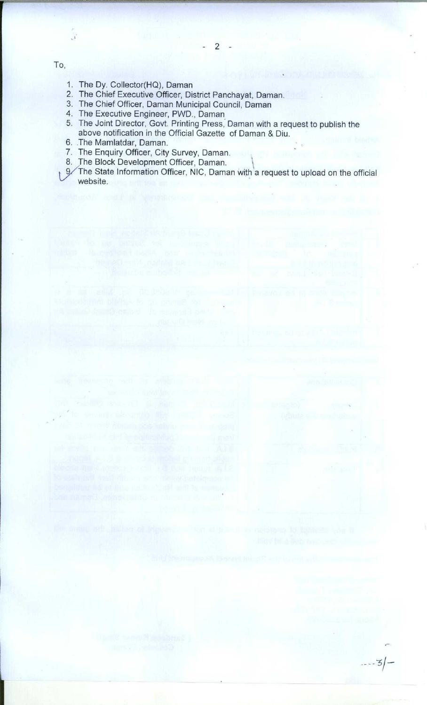To,

 $\mathcal{N}$ 

- 1. The Dy**. Collector**( **HQ), Daman**
- 2. The Chief **Executive Officer, District Panchayat, Daman.**
- 3. The Chief **Officer**, **Daman Municipal Council, Daman**
- **4. The Executive Engineer**, **PWD., Daman**
- 5. The **Joint Director, Govt. Printing Press** , **Daman with a request to publish the above notification in the Official Gazette of Daman & Diu.**
- **6. The Mamlatdar, Daman.**
- 7. The Enquiry Officer, City Survey, Daman.
- **8. The Block Development Officer**, **Daman.**
- p/The State Information **Officer**, **NIC, Daman with a request to upload on the official website.**

---3/-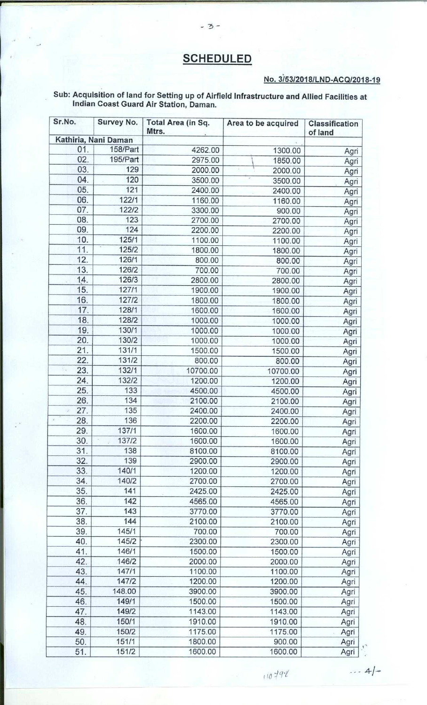# **SCHEDULED**

## **No. 3/53**/**2018**/**L N D-AC QI2018-19**

#### **Sub: Acquisition of land for Setting up of Airfield Infrastructure and Allied Facilities at Indian Coast Guard Air Station** , **Daman.**

 $-3-$ 

| Sr.No.<br>Survey No. |                      | Total Area (in Sq.<br>Mtrs. | Area to be acquired | Classification<br>of land |
|----------------------|----------------------|-----------------------------|---------------------|---------------------------|
|                      | Kathiria, Nani Daman |                             |                     |                           |
| 01.                  | 158/Part             | 4262.00                     | 1300.00             | Agri                      |
| 02.                  | 195/Part             | 2975.00                     | 1850.00             | Agri                      |
| 03.                  | 129                  | 2000.00                     | 2000.00             | Agri                      |
| 04.                  | 120                  | 3500.00                     | 3500.00             | Agri                      |
| 05.                  | 121                  | 2400.00                     | 2400.00             | Agri                      |
| 06.                  | 122/1                | 1160.00                     | 1160.00             | Agri                      |
| 07.                  | 122/2                | 3300.00                     | 900.00              | Agri                      |
| 08.                  | 123                  | 2700.00                     | 2700.00             | Agri                      |
| 09.                  | 124                  | 2200.00                     | 2200.00             | Agri                      |
| 10.                  | 125/1                | 1100.00                     | 1100.00             | Agri                      |
| 11.                  | 125/2                | 1800.00                     | 1800.00             | Agri                      |
| 12.                  | 126/1                | 800.00                      | 800.00              | Agri                      |
| 13.                  | 126/2                | 700.00                      | 700.00              | Agri                      |
| 14.                  | 126/3                | 2800.00                     | 2800.00             | Agri                      |
| 15.                  | 127/1                | 1900.00                     | 1900.00             | Agri                      |
| 16.                  | 127/2                | 1800.00                     | 1800.00             | Agri                      |
| 17.                  | 128/1                | 1600.00                     | 1600.00             | Agri                      |
| 18.                  | 128/2                | 1000.00                     | 1000.00             | Agri                      |
| 19.                  | 130/1                | 1000.00                     | 1000.00             | Agri                      |
| 20.                  | 130/2                | 1000.00                     | 1000.00             |                           |
| 21.                  | 131/1                | 1500.00                     | 1500.00             | Agri                      |
| 22.                  | 131/2                | 800.00                      | 800.00              | Agri                      |
| 23.<br>S.            | 132/1                | 10700.00                    | 10700.00            | Agri                      |
| 24.                  | 132/2                | 1200.00                     | 1200.00             | Agri                      |
| 25.                  | 133                  | 4500.00                     | 4500.00             | Agri                      |
| 26.                  | 134                  | 2100.00                     | 2100.00             | Agri                      |
| 27.                  | 135                  | 2400.00                     | 2400.00             | Agri                      |
| 28.<br>$\mu$         | 136                  | 2200.00                     | 2200.00             | Agri                      |
| 29.                  | 137/1                | 1600.00                     | 1600.00             | Agri                      |
| 30.                  | 137/2                | 1600.00                     | 1600.00             | Agri                      |
| 31.                  | 138                  | 8100.00                     | 8100.00             | Agri                      |
| 32.                  | 139                  | 2900.00                     |                     | Agri                      |
| 33.                  | 140/1                | 1200.00                     | 2900.00             | Agri                      |
| 34.                  | 140/2                | 2700.00                     | 1200.00             | Agri                      |
| 35.                  | 141                  | 2425.00                     | 2700.00<br>2425.00  | Agri                      |
| 36.                  | 142                  | 4565.00                     |                     | Agri                      |
| 37.                  | 143                  | 3770.00                     | 4565.00<br>3770.00  | Agri                      |
| 38.                  | 144                  | 2100.00                     |                     | Agri                      |
| 39.                  | 145/1                | 700.00                      | 2100.00             | Agri                      |
|                      | 145/2                | 2300.00                     | 700.00              | Agri                      |
| 40.                  |                      |                             | 2300.00             | Agri                      |
| 41.                  | 146/1                | 1500.00                     | 1500.00             | Agri                      |
| 42.                  | 146/2                | 2000.00                     | 2000.00             | Agri                      |
| 43.                  | 147/1                | 1100.00                     | 1100.00             | Agri                      |
| 44.                  | 147/2                | 1200.00                     | 1200.00             | Agri                      |
| 45.                  | 148.00               | 3900.00                     | 3900.00             | Agri                      |
| 46.                  | 149/1                | 1500.00                     | 1500.00             | Agri                      |
| 47.                  | 149/2                | 1143.00                     | 1143.00             | Agri                      |
| 48.                  | 150/1                | 1910.00                     | 1910.00             | Agri                      |
| 49.                  | 150/2                | 1175.00                     | 1175.00             | Agri                      |
| 50.                  | 151/1                | 1800.00                     | 900.00              | Agri                      |
| 51.                  | 151/2                | 1600.00                     | 1600.00             | Agri                      |

*r 10 -Icl `I*

 $... 4/-$ 

b